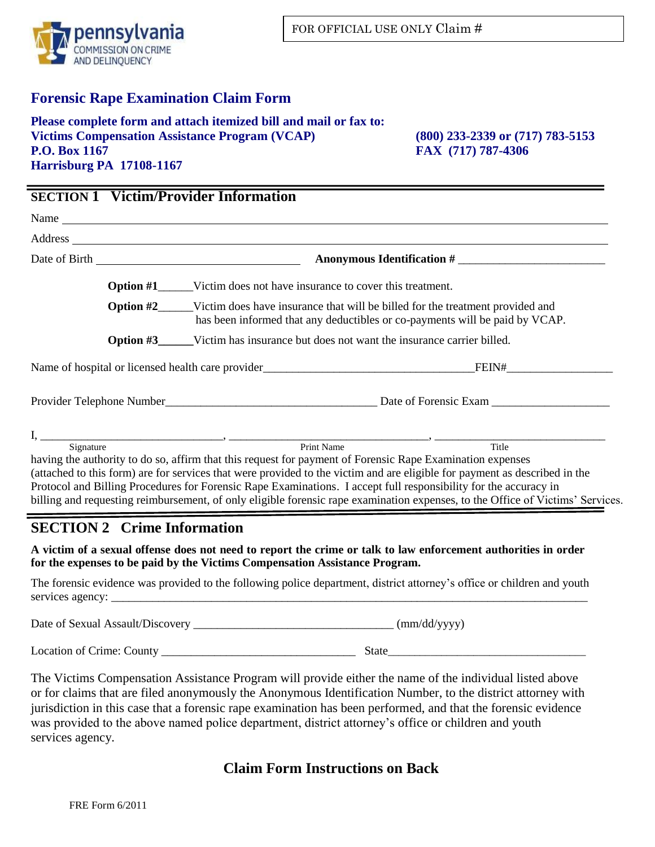

## **Forensic Rape Examination Claim Form**

| Please complete form and attach itemized bill and mail or fax to: |  |
|-------------------------------------------------------------------|--|
| <b>Victims Compensation Assistance Program (VCAP)</b>             |  |
| <b>P.O. Box 1167</b>                                              |  |
| <b>Harrisburg PA 17108-1167</b>                                   |  |

**Victims Compensation Assistance Program (VCAP) (800) 233-2339 or (717) 783-5153 P.O. Box 1167 FAX (717) 787-4306**

# **SECTION 1 Victim/Provider Information**

|           |  | Address and the contract of the contract of the contract of the contract of the contract of the contract of the contract of the contract of the contract of the contract of the contract of the contract of the contract of th                                                                                                                                                                                                                                                                        |  |  |
|-----------|--|-------------------------------------------------------------------------------------------------------------------------------------------------------------------------------------------------------------------------------------------------------------------------------------------------------------------------------------------------------------------------------------------------------------------------------------------------------------------------------------------------------|--|--|
|           |  |                                                                                                                                                                                                                                                                                                                                                                                                                                                                                                       |  |  |
|           |  | <b>Option #1</b> Victim does not have insurance to cover this treatment.                                                                                                                                                                                                                                                                                                                                                                                                                              |  |  |
|           |  | <b>Option #2</b> Victim does have insurance that will be billed for the treatment provided and<br>has been informed that any deductibles or co-payments will be paid by VCAP.                                                                                                                                                                                                                                                                                                                         |  |  |
|           |  | <b>Option #3</b> Victim has insurance but does not want the insurance carrier billed.                                                                                                                                                                                                                                                                                                                                                                                                                 |  |  |
|           |  | Name of hospital or licensed health care provider FEIN# FEIN#                                                                                                                                                                                                                                                                                                                                                                                                                                         |  |  |
|           |  |                                                                                                                                                                                                                                                                                                                                                                                                                                                                                                       |  |  |
| Signature |  | $I, \underline{\hspace{1cm}}$ , $\underline{\hspace{1cm}}$ , $\underline{\hspace{1cm}}$ , $\underline{\hspace{1cm}}$ , $\underline{\hspace{1cm}}$ , $\underline{\hspace{1cm}}$ , $\underline{\hspace{1cm}}$ , $\underline{\hspace{1cm}}$ , $\underline{\hspace{1cm}}$ , $\underline{\hspace{1cm}}$ , $\underline{\hspace{1cm}}$ , $\underline{\hspace{1cm}}$ , $\underline{\hspace{1cm}}$ , $\underline{\hspace{1cm}}$ , $\underline{\hspace{1cm}}$ , $\underline{\hspace{1cm$<br>Title<br>Print Name |  |  |
|           |  | having the authority to do so, affirm that this request for payment of Forensic Rape Examination expenses                                                                                                                                                                                                                                                                                                                                                                                             |  |  |
|           |  | (attached to this form) are for services that were provided to the victim and are eligible for payment as described in the                                                                                                                                                                                                                                                                                                                                                                            |  |  |
|           |  | Protocol and Billing Procedures for Forensic Rape Examinations. I accept full responsibility for the accuracy in                                                                                                                                                                                                                                                                                                                                                                                      |  |  |
|           |  | billing and requesting reimbursement, of only eligible forensic rape examination expenses, to the Office of Victims' Services.                                                                                                                                                                                                                                                                                                                                                                        |  |  |

## **SECTION 2 Crime Information**

**A victim of a sexual offense does not need to report the crime or talk to law enforcement authorities in order for the expenses to be paid by the Victims Compensation Assistance Program.** 

The forensic evidence was provided to the following police department, district attorney's office or children and youth services agency: \_\_\_\_\_\_\_\_\_\_\_\_\_\_\_\_\_\_\_\_\_\_\_\_\_\_\_\_\_\_\_\_\_\_\_\_\_\_\_\_\_\_\_\_\_\_\_\_\_\_\_\_\_\_\_\_\_\_\_\_\_\_\_\_\_\_\_\_\_\_\_\_\_\_\_\_\_\_\_\_\_

Date of Sexual Assault/Discovery \_\_\_\_\_\_\_\_\_\_\_\_\_\_\_\_\_\_\_\_\_\_\_\_\_\_\_\_\_\_\_\_\_\_ (mm/dd/yyyy)

Location of Crime: County \_\_\_\_\_\_\_\_\_\_\_\_\_\_\_\_\_\_\_\_\_\_\_\_\_\_\_\_\_\_\_\_\_ State\_\_\_\_\_\_\_\_\_\_\_\_\_\_\_\_\_\_\_\_\_\_\_\_\_\_\_\_\_\_\_\_\_\_\_\_\_

The Victims Compensation Assistance Program will provide either the name of the individual listed above or for claims that are filed anonymously the Anonymous Identification Number, to the district attorney with jurisdiction in this case that a forensic rape examination has been performed, and that the forensic evidence was provided to the above named police department, district attorney's office or children and youth services agency.

 **Claim Form Instructions on Back**